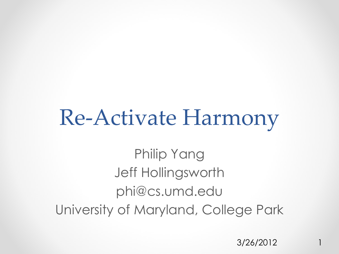#### Re-Activate Harmony

Philip Yang Jeff Hollingsworth phi@cs.umd.edu University of Maryland, College Park

3/26/2012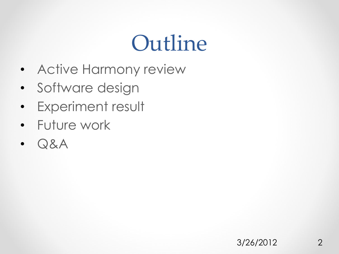#### Outline

- Active Harmony review
- Software design
- Experiment result
- Future work
- Q&A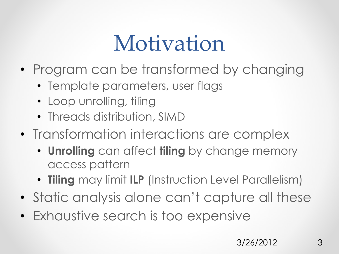## Motivation

- Program can be transformed by changing
	- Template parameters, user flags
	- Loop unrolling, tiling
	- Threads distribution, SIMD
- Transformation interactions are complex
	- **Unrolling** can affect **tiling** by change memory access pattern
	- **Tiling** may limit **ILP** (Instruction Level Parallelism)
- Static analysis alone can't capture all these
- Exhaustive search is too expensive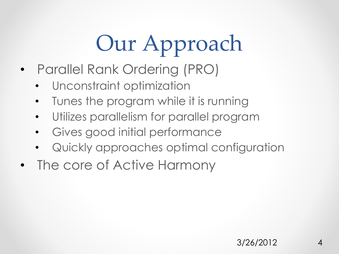# Our Approach

- Parallel Rank Ordering (PRO)
	- Unconstraint optimization
	- Tunes the program while it is running
	- Utilizes parallelism for parallel program
	- Gives good initial performance
	- Quickly approaches optimal configuration
- The core of Active Harmony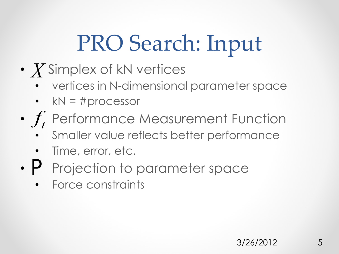## PRO Search: Input

- $X$  Simplex of kN vertices
	- vertices in N-dimensional parameter space
	- $kN = #processor$
- $f_t$  Performance Measurement Function
	- Smaller value reflects better performance
	- Time, error, etc.
- P Projection to parameter space
	- Force constraints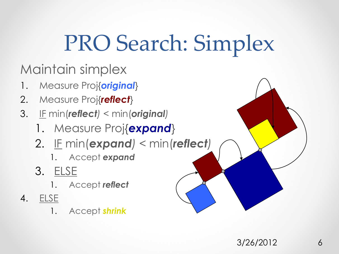## PRO Search: Simplex

Maintain simplex

- 1. Measure Proj{*original*}
- 2. Measure Proj{*reflect*}
- 3. IF min(*reflect)* < min(*original)*
	- 1. Measure Proj{*expand*}
	- 2. IF min(*expand)* < min(*reflect)*
		- 1. Accept *expand*
	- 3. ELSE
		- 1. Accept *reflect*
- 4. ELSE
	- 1. Accept *shrink*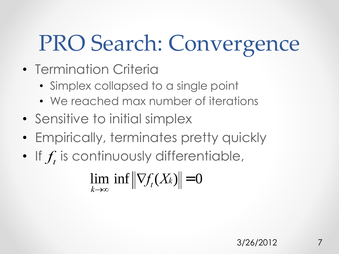## PRO Search: Convergence

- Termination Criteria
	- Simplex collapsed to a single point
	- We reached max number of iterations
- Sensitive to initial simplex
- Empirically, terminates pretty quickly
- If  $f_t$  is continuously differentiable,

lim  $k\rightarrow\infty$  $\inf \left\| \nabla f_t(X_k) \right\| = 0$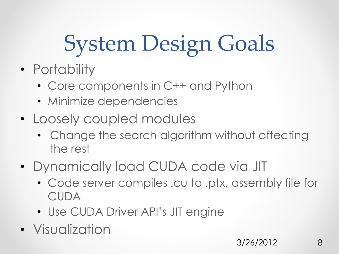# System Design Goals

- Portability
	- Core components in C++ and Python
	- Minimize dependencies
- Loosely coupled modules
	- Change the search algorithm without affecting the rest
- Dynamically load CUDA code via JIT
	- Code server compiles .cu to .ptx, assembly file for CUDA
	- Use CUDA Driver API's JIT engine
- Visualization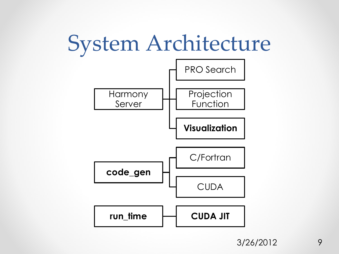## System Architecture



3/26/2012 9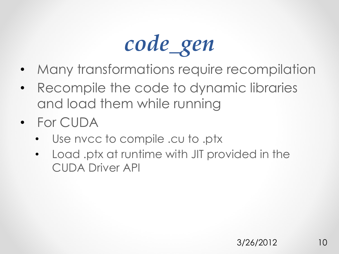

- Many transformations require recompilation
- Recompile the code to dynamic libraries and load them while running
- For CUDA
	- Use nvcc to compile .cu to .ptx
	- Load .ptx at runtime with JIT provided in the CUDA Driver API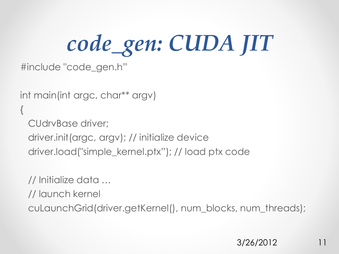*code\_gen: CUDA JIT*

#include "code\_gen.h"

```
int main(int argc, char** argv)
\{ CUdrvBase driver;
  driver.init(argc, argv); // initialize device
  driver.load("simple_kernel.ptx"); // load ptx code
```
// Initialize data …

// launch kernel

cuLaunchGrid(driver.getKernel(), num\_blocks, num\_threads);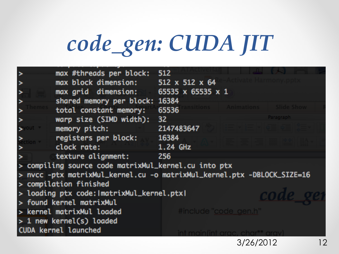# *code\_gen: CUDA JIT*

|                                                                         | max #threads per block:        | <b>512</b>          |           |  |  |  |
|-------------------------------------------------------------------------|--------------------------------|---------------------|-----------|--|--|--|
|                                                                         | max block dimension:           | 512 x 512 x 64      |           |  |  |  |
|                                                                         | max grid dimension:            | 65535 x 65535 x 1   |           |  |  |  |
|                                                                         | shared memory per block: 16384 |                     |           |  |  |  |
|                                                                         | total constant memory:         | Animations<br>65536 |           |  |  |  |
|                                                                         | warp size (SIMD width):        | 32                  | Paragraph |  |  |  |
|                                                                         | memory pitch:                  | 2147483647          |           |  |  |  |
|                                                                         | registers per block:           | 16384               |           |  |  |  |
|                                                                         | clock rate:                    | 1.24 GHz            |           |  |  |  |
|                                                                         | texture alignment:             | 256                 |           |  |  |  |
| > compiling source code matrixMul_kernel.cu into ptx                    |                                |                     |           |  |  |  |
| > nvcc -ptx matrixMul_kernel.cu -o matrixMul_kernel.ptx -DBLOCK_SIZE=16 |                                |                     |           |  |  |  |
| > compilation finished                                                  |                                |                     |           |  |  |  |
| > loading ptx code: ImatrixMul_kernel.ptxl                              |                                |                     |           |  |  |  |
| > found kernel matrixMul                                                |                                |                     |           |  |  |  |
| #include "code_gen.h"<br>> kernel matrixMul loaded                      |                                |                     |           |  |  |  |
| $> 1$ new kernel(s) loaded                                              |                                |                     |           |  |  |  |
|                                                                         | <b>CUDA kernel launched</b>    |                     |           |  |  |  |
|                                                                         |                                | 3/26/2012           | 12        |  |  |  |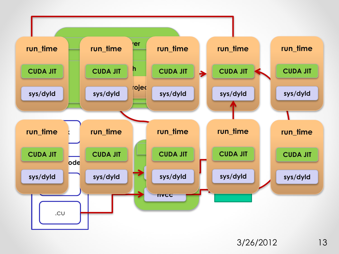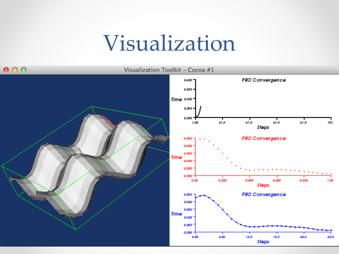#### Visualization

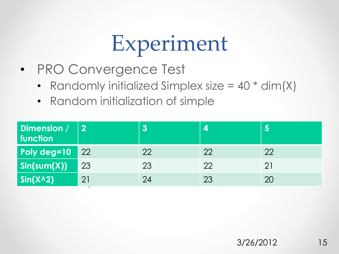## Experiment

- PRO Convergence Test
	- Randomly initialized Simplex size  $= 40 * dim(X)$
	- Random initialization of simple

| Dimension /<br>function         | $\mathbf{2}$ |    |    |    |
|---------------------------------|--------------|----|----|----|
| Poly deg=10                     | $\sqrt{22}$  | 22 | 22 | 22 |
| $\mathsf{Sin}(\mathsf{sum}(X))$ | 23           | 23 | 22 | 21 |
| $\sin(X \wedge 2)$              | 21           | 24 | 23 | 20 |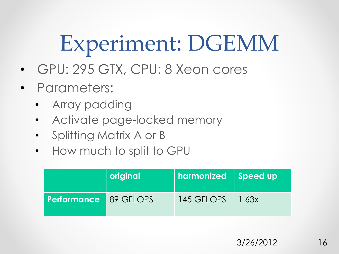Experiment: DGEMM

- GPU: 295 GTX, CPU: 8 Xeon cores
- Parameters:
	- Array padding
	- Activate page-locked memory
	- Splitting Matrix A or B
	- How much to split to GPU

|                              | original | harmonized Speed up |       |
|------------------------------|----------|---------------------|-------|
| <b>Performance</b> 89 GFLOPS |          | 145 GFLOPS          | 1.63x |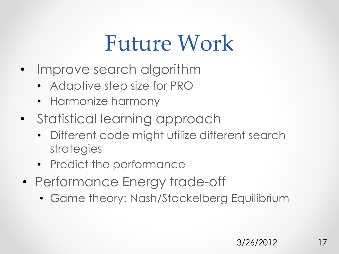#### Future Work

- Improve search algorithm
	- Adaptive step size for PRO
	- Harmonize harmony
- Statistical learning approach
	- Different code might utilize different search strategies
	- Predict the performance
- Performance Energy trade-off
	- Game theory: Nash/Stackelberg Equilibrium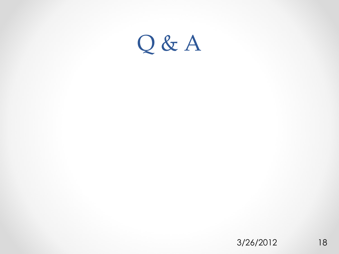